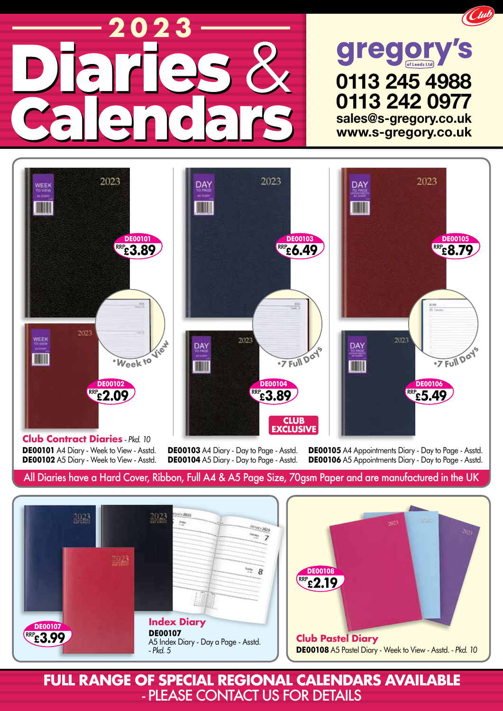## **2023 2023**





**Club Contract Diaries** *- Pkd. 10* **DE00101** A4 Diary - Week to View - Asstd. **DE00102** A5 Diary - Week to View - Asstd.

**DE00103** A4 Diary - Day to Page - Asstd. **DE00104** A5 Diary - Day to Page - Asstd. **DE00105** A4 Appointments Diary - Day to Page - Asstd. **DE00106** A5 Appointments Diary - Day to Page - Asstd.

## All Diaries have a Hard Cover, Ribbon, Full A4 & A5 Page Size, 70gsm Paper and are manufactured in the UK





**FULL RANGE OF SPECIAL REGIONAL CALENDARS AVAILABLE** - PLEASE contact us for details